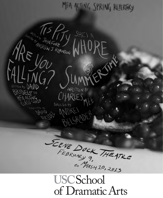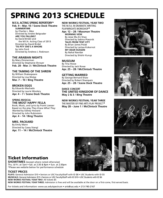# SPRING 2013 SCHEDULE

#### **M.F.A. ACTING SPRING REPERTORY\***

#### **Feb. 9 – Mar. 10 / Scene Dock Theatre** **SUMMERTIME**

by Charles L. Mee Directed by Andrei Belgrader **ARE YOU FALLING?** by David Bridel and the M.F.A. Acting Class of 2013 Directed by David Bridel **'TIS PITY SHE'S A WHORE by John Ford** Directed by Andrew J. Robinson

#### **THE ARABIAN NIGHTS** By Mary Zimmerman Directed by Stephanie Shroyer **Feb. 28 - Mar. 3 / McClintock Theatre**

**THE TAMING OF THE SHREW** By William Shakespeare Directed by Lisa Wolpe **Mar. 7 – 10 / Bing Theatre**

#### **BROKEN EGGS**

By Eduardo Machado Directed by Laurie Woolery **Apr. 4 – 7 / Scene Dock Theatre**

#### **SPRING MUSICAL THE MOST HAPPY FELLA**

Book, Music, and Lyrics by Frank Loesser Based on the play *They Knew What They Wanted* by Sidney Howard Directed by John Rubinstein **Apr. 4 – 14 / Bing Theatre**

#### **MRS. PACKARD**

By Emily Mann Directed by Casey Stangl **Apr. 11 – 14 / McClintock Theatre**

#### **NEW WORKS FESTIVAL YEAR TWO**

THE M.F.A. IN DRAMATIC WRITING. PLAYWRIGHTS WORKSHOP**\***

**Apr. 12 – 28 / Massman Theatre** **MORNING VIEW** By Jesse Mu-En Shao Directed by Sabina Ptasznik **TALES FROM TENT CITY** By Brian James Polak **Directed by Larissa Kokernot** **MY DEAR HUSSEIN** By Nahal Navidar Directed by Shishir Kurup

#### **MUSEUM**

By Tina Howe Directed by Jack Rowe **Apr. 25 – 28 / McClintock Theatre**

#### **GETTING MARRIED** By George Bernard Shaw Directed by Robert Shampain **Apr. 25 – 28 / Scene Dock Theatre**

#### **DANCE CONCERT THE UNITED KINGDOM OF DANCE May 2 & 3 / Bing Theatre**

**NEW WORKS FESTIVAL YEAR THREE** THE MASTER OF FINE ARTS PLAY PROJECT**\* May 28 – June 1 / McClintock Theatre**











# Ticket Information

**SHOWTIMES** (except where noted otherwise) Thu. & Fri. at 7pm • Sat. at 2:30 & 8pm • Sun. at 2:30pm \*Please see website below for performance schedule

#### **TICKET PRICES**

**PLAYS:** General Admission \$10 • Seniors or USC Faculty/Staff with ID \$8 • USC Students with ID \$5 **MUSICALS:** General Admission \$15 • Seniors or USC Faculty/Staff with ID \$10 • USC Students with ID \$6 **NEW WORKS FESTIVAL YEAR TWO:** All tickets \$5 **NEW WORKS FESTIVAL YEAR THREE:** Admission is free and will be available at the door on a first-come, first-served basis.

For tickets and information: www.usc.edu/spectrum • arts@usc.edu • 213-740-2167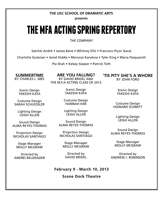#### **THE USC SCHOOL OF DRAMATIC ARTS**

**presents**

# THE MFA ACTING SPRING REPERTORY

#### THE COMPANY

Satchel André • James Bane • Whitney Ellis • Francisco Pryor Garat

Charlotte Gulezian • Jered Hobbs • Moronai Kanekoa • Tyler King • Maria Pasquarelli

Pia Shah • Kelsey Siepser • Patrick Toth

**SUMMERTIME**

BY CHARLES L. MEE

Scenic Design TAKESHI KATA

Costume Design SARAH SCHUESSLER

Lighting Design LEIGH ALLEN

Sound Design ALMA REYES-THOMAS

Projection Design NICHOLAS SANTIAGO

Stage Manager MOLLY MCGRAW

Directed by ANDREI BELGRADER

**ARE YOU FALLING?** BY DAVID BRIDEL AND THE M.F.A ACTING CLASS OF 2013

> Scenic Design TAKESHI KATA

Costume Design HANNAH KIM

Lighting Design LEIGH ALLEN

Sound Design ALMA REYES-THOMAS

> Projection Design NICHOLAS SANTIAGO

Stage Manager MOLLY MCGRAW

Directed by DAVID BRIDEL **'TIS PITY SHE'S A WHORE** BY JOHN FORD

> Scenic Design TAKESHI KATA

Costume Design HOWARD SCHMITT

Lighting Design LEIGH ALLEN

Sound Design ALMA REYES-THOMAS

> Stage Manager MOLLY MCGRAW

Directed by ANDREW J. ROBINSON

**February 9 - March 10, 2013**

**Scene Dock Theatre**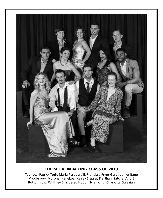

## THE M.F.A. IN ACTING CLASS OF 2013

Top row: Patrick Toth, Maria Pasquarelli, Francisco Pryor Garat, James Bane Middle row: Moronai Kanekoa, Kelsey Siepser, Pia Shah, Satchel André Bottom row: Whitney Ellis, Jered Hobbs, Tyler King, Charlotte Gulezian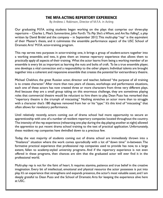#### THE MFA ACTING REPERTORY EXPERIENCE

By Andrew J. Robinson, Director of M.F.A. in Acting

Our graduating M.F.A. acting students began working on the plays that comprise our three-play repertoire – Charles L. Mee's *Summertime*, John Ford's *'Tis Pity She's a Whore*, and *Are You Falling?,* a play written by David Bridel and the company – in September 2012. This multi-play "rep" is the equivalent of their Master's thesis, and it culminates the ensemble performance aspect of the USC School of Dramatic Arts' M.F.A. actor-training program.

This rep serves two purposes in actor-training: one, it brings a group of student-actors together into a working ensemble; and two, it gives them an intense repertory experience that allows them to practically apply all aspects of their training. What the actor learns from being a working member of an ensemble is every bit as important as learning the nuts and bolts of craft. To be a true ensemble player, one develops a vital connection and a responsibility to the other players. Individual talents are brought together into a coherent and responsive ensemble that creates the potential for extraordinary theatre.

Michael Chekhov, the great Russian actor, director and teacher, believed "the purpose of all training is to create character." After more than two years of classes, workshops and performance situations, each one of these actors has now created three or more characters from three very different plays. And because they are a small group taking on this enormous challenge, they are sometimes playing roles that commercial theatre would be reluctant to hire them to play. Dean Puzo has remarked that "repertory theatre is the triumph of miscasting." Nothing stretches an actor more than to struggle with a character that's 180 degrees removed from her or his "type." It's this kind of "miscasting" that often allows for revelatory performance.

Until relatively recently, actors coming out of drama school had more opportunity to secure an apprenticeship with one of a number of resident repertory companies located throughout the country. The intensity of the rep experience (rehearsing one play during the day, playing another at night) allowed the apprentice to put recent drama school training to the test of practical application. Unfortunately, these resident rep companies have dwindled down to a precious few.

Today, the vast majority of students coming out of drama school are immediately thrown into a "freelance" situation where the work comes sporadically with a lot of "down time" in-between. The formative practical experience that professional rep companies used to provide has now, to a large extent, fallen to academy-styled university programs. And if the repertory experience is not even offered in these programs, then chances are slim that the graduated actor will ever find it in the professional world.

Multi-play rep is not for the faint of heart. It requires stamina, patience and true belief in the creative imagination. Every bit of intellectual, emotional and physical resource the actor possesses is put into play. It's an experience that strengthens and expands presence, the actor's most valuable asset, and I am deeply grateful to Dean Puzo and the School of Dramatic Arts for keeping the experience alive here at USC.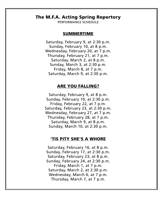# The M.F.A. Acting Spring Repertory

Performance Schedule

### SUMMERTIME

Saturday, February 9, at 2:30 p.m. Sunday, February 10, at 8 p.m. Wednesday, February 20, at 7 p.m. Thursday, February 21, at 7 p.m. Saturday, March 2, at 8 p.m. Sunday, March 3, at 2:30 p.m. Friday, March 8, at 7 p.m. Saturday, March 9, at 2:30 p.m.

## ARE YOU FALLING?

Saturday, February 9, at 8 p.m. Sunday, February 10, at 2:30 p.m. Friday, February 22, at 7 p.m. Saturday, February 23, at 2:30 p.m. Wednesday, February 27, at 7 p.m. Thursday, February 28, at 7 p.m. Saturday, March 9, at 8 p.m. Sunday, March 10, at 2:30 p.m.

## 'TIS PITY SHE'S A WHORE

Saturday, February 16, at 8 p.m. Sunday, February 17, at 2:30 p.m. Saturday, February 23, at 8 p.m. Sunday, February 24, at 2:30 p.m. Friday, March 1, at 7 p.m. Saturday, March 2, at 2:30 p.m. Wednesday, March 6, at 7 p.m. Thursday, March 7, at 7 p.m.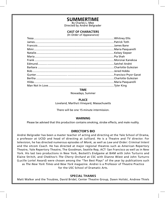# **SUMMERTIME**

By Charles L. Mee Directed by Andrei Belgrader

## **CAST OF CHARACTERS**

*(In Order of Appearance)*

#### **TIME**

Nowadays, Summer

#### **PLACE**

Loveland, Martha's Vineyard, Massachusetts

There will be one 15-minute intermission.

#### **WARNING**

Please be advised that this production contains smoking, strobe effects, and male nudity.

#### **DIRECTOR'S BIO**

Andrei Belgrader has been a master teacher of acting and directing at the Yale School of Drama, a professor at UCSD and head of directing at Juilliard. He is a Theatre and TV director. For television, he has directed numerous episodes of *Monk,* as well as *Law and Order: Criminal Intent* and the sitcom *Coach*. He has directed at major regional theatres such as American Repertory Theatre, Yale Repertory Theatre, The Goodman, Seattle Rep, ACT- San Francisco as well as in New York. His last two productions in New York, Beckett's *Endgame* at BAM with John Turturro and Elaine Stritch, and Chekhov's *The Cherry Orchard* at CSC with Dianne Wiest and John Turturro (Lucille Lortel Award) were chosen among the "Ten Best Plays" of the year by publications such as *The New York Times* and *New York* magazine. Andrei is a Professor of Theatre Practice for the USC School of Dramatic Arts.

#### **SPECIAL THANKS**

Matt Walker and the Troubies, David Bridel, Center Theatre Group, Dawn Holiski, Andrew Thiels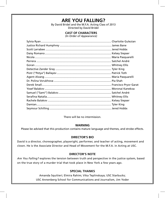# **ARE YOU FALLING?**

By David Bridel and the M.F.A. Acting Class of 2013 Directed by David Bridel

### **CAST OF CHARACTERS**

*(In Order of Appearance)*

There will be no intermission.

#### **WARNING**

Please be advised that this production contains mature language and themes, and strobe effects.

#### **DIRECTOR'S BIO**

David is a director, choreographer, playwright, performer, and teacher of acting, movement and clown. He is the Associate Director and Head of Movement for the M.F.A. in Acting at USC.

#### **DIRECTOR'S NOTE**

*Are You Falling?* explores the tension between truth and perspective in the justice system, based on the true story of a murder trial that took place in New York a few years ago.

#### **SPECIAL THANKS**

Amanda Squitieri; Elmira Rahim; Vika Teplinskaya; USC Starbucks; USC Annenberg School for Communications and Journalism, Jim Yoder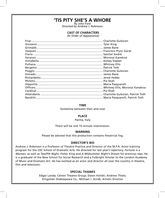# **'TIS PITY SHE'S A WHORE**

By John Ford Directed by Andrew J. Robinson

#### **CAST OF CHARACTERS**

*(In Order of Appearance)*

#### **TIME**

Sometime between then and now

#### **PLACE**

Parma, Italy

There will be one 15-minute intermission.

#### **WARNING**

Please be advised that this production contains theatrical fog.

#### **DIRECTOR'S BIO**

Andrew J. Robinson is a Professor of Theatre Practice and Director of the M.F.A. Actor-training program for the USC School of Dramatic Arts. He directed for last year's repertory, *Fortune is a Woman*, as well as *Twelfth Night*, *Fisher King* and *A Midsummer Night's Dream* for previous reps. He is a graduate of the New School for Social Research and a Fulbright Scholar to the London Academy of Music and Dramatic Art. He has worked as an actor and director all over the country in theatre, film and television.

#### **SPECIAL THANKS**

Edgar Landa; Center Theatre Group; Dawn Holiski; Andrew Thiels; Kingsmen Shakespeare Co., Michael J. Arndt, Artistic Director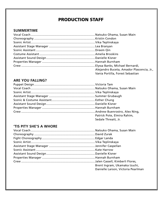# PRODUCTION STAFF

## **SUMMERTIME**

| Alejandro Buceta, Amador Plascencia, Jr., |
|-------------------------------------------|
| Vania Portilla, Forest Sebastian          |

## **ARE YOU FALLING?**

| Patrick Pote, Elmira Rahim, |
|-----------------------------|
| Sedale Threatt, Jr.         |

## **'TIS PITY SHE'S A WHORE**

| Brent Ingram, Ukamaka Izuchi,      |
|------------------------------------|
| Danielle Larson, Victoria Pearlman |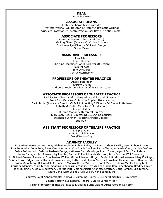#### DEAN

Madeline Puzo

#### ASSOCIATE DEANS

Professor Sharon Marie Carnicke Professor Velina Hasu Houston (Director Of Dramatic Writing) Associate Professor Of Theatre Practice Jack Rowe (Artistic Director)

#### ASSOCIATE PROFESSORS

Margo Apostolos (Director Of Dance) Meiling Cheng (Director Of Critical Studies) Don Llewellyn (Director Of Scenic Design) Oliver Mayer

#### ASSISTANT PROFESSORS

Luis Alfaro Angus Fletcher Christina Haatainen-Jones (Director Of Design) Takeshi Kata Tom Ontiveros Sibyl Wickersheimer

#### PROFESSORS OF THEATRE PRACTICE

Andrei Belgrader Natsuko Ohama Andrew J. Robinson (Director Of M.F.A. in Acting)

#### ASSOCIATE PROFESSORS OF THEATRE PRACTICE

Paul Backer (Director Of Undergraduate Voice and Movement) Brent Blair (Director Of M.A. in Applied Theatre Arts) David Bridel (Associate Director Of M.F.A. in Acting & Director Of Global Initiatives) Elsbeth M. Collins (Director Of Production) Joseph Hacker Duncan Mahoney (Technical Director) Mary-Joan Negro (Director Of B.A. Acting Courses) Stephanie Shroyer (Associate Artistic Director) Eric Trules

#### ASSISTANT PROFESSORS OF THEATRE PRACTICE

Philip G. Allen Anita Dashiell-Sparks David Warshofsky

#### ADJUNCT FACULTY

Tony Abatemarco, Joe Anthony, Michael Arabian, Robert Bailey, Joe Bays, Corbett Barklie, Jason Robert Brown, Tom Buderwitz, Anne Burk, Frank Catalano, Julian Cha, Stacie Chaiken, Paula Cizmar, Anatasia Coon, Cynthia DeCure, Debra DeLiso, John DeMita, Barbara Dodge, Kathleen Dunn-Muzingo, Frank Dwyer, Kiyomi Emi, Dan Fishbach, Laura Flanagan, Jeff Flowers, Jay Fuentes, Parmer Fuller, Miranda Garrison, Terry Gordon, Will Greenberg, H. Richard Greene, Alexander Greschenko, William Gunn, Elizabeth Hogan, Paula Holt, Michael Keenan, Mary K Klinger, Shishir Kurup, Edgar Landa, Rachael Lawrence, Joey Letteri, Vicki Lewis, Victoria Looseleaf, Helene Lorenz, Heather Lyle, Susan Main, Marjo-Riikka Makela, Babette Markus, Kevin McCorkle, Laurel Meade, Johnny Meeks, Randy Mell, Christine Menzies, Ntare Mwine, Angeliki Papadakis, Jacqueline Pavlich, Leah Piehl, Ron Popenhagen, Bradley Rapier, John Rubinstein, Mady Schutzman, Georgia Stitt (Visiting Artist), Charlotte Stratton, Doug Tompos, Ella Turenne, Laura Vena, Matt Walker, Julie Welch, Kenji Yamaguchi

Courtesy Joint Appointments: Thomas G. Cummings, Larry E. Greiner (Emeritus), Bruce Smith

Emeriti Faculty: Eve Roberts, Robert R. Scales, James Wilson

Visiting Professor of Theatre Practice & George Burns Visiting Artist: Gordon Davidson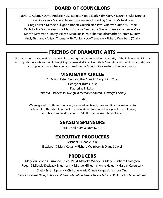# BOARD OF COUNCILORS

Patrick J. Adams • David Anderle • Lisa Barkett • Todd Black • Tim Curry • Lauren Shuler Donner Tate Donovan • Michele Dedeaux Engemann (Founding Chair) • Michael Felix Greg Foster • Michael Gilligan • Robert Greenblatt • Patti Gribow • Susan A. Grode Paula Holt • Donna Isaacson • Mark Kogan • Gary Lask • Sheila Lipinsky • Laurence Mark Martin Massman • Jimmy Miller • Madeline Puzo • Thomas Schumacher • James D. Stern Andy Tennant • Allison Thomas • Rik Toulon • Joe Tremaine • Richard Weinberg (Chair)

# FRIENDS OF DRAMATIC ARTS

The USC School of Dramatic Arts would like to recognize the tremendous generosity of the following individuals and organizations whose cumulative giving has exceeded \$1 million. Their foresight and commitment to the arts and higher education have helped transform the School into a leader in theatre education:

# VISIONARY CIRCLE

Dr. & Mrs. Peter Bing and the Anna H. Bing Living Trust

George N. Burns Trust

Katherine B. Loker

Robert & Elizabeth Plumleigh *in memory of Karen Plumleigh Cortney*

3ň

We are grateful to those who have given wisdom, talent, time and financial resources to the benefit of the School's Annual Fund in addition to scholarship support. The following members have made pledges of \$1,000 or more over the past year:

# SEASON SPONSORS

Eric T. Kalkhurst & Nora K. Hui

# EXECUTIVE PRODUCERS

Michael & Debbie Felix Elizabeth & Mark Kogan • Richard Weinberg & Diane Stilwell

# PRODUCERS

MaryLou Boone • Suzanne Bruce, MD & Malcolm Waddell • Mary & Richard Covington Roger & Michele Dedeaux Engemann • Michael Gilligan & Anne Helgen • Gary & Karen Lask Sheila & Jeff Lipinsky • Christine Marie Ofiesh • Inger A. Armour Ong

Sally & Howard Oxley *in honor of Dean Madeline Puzo* • Teresa & Byron Pollitt • Jim & Leslie Visnic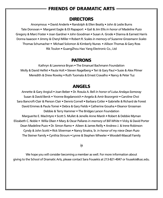## FRIENDS OF DRAMATIC ARTS

## **DIRECTORS**

Anonymous • David Anderle • Randolph & Ellen Beatty • John & Leslie Burns Tate Donovan • Margaret Eagle & Eli Rapaport • Gail & Jim Ellis *in honor of Madeline Puzo* Gregory & Marci Foster • Joan Gardner • John Goodman • Susan A. Grode • Dianna & Earnest Harris Donna Isaacson • Jimmy & Cheryl Miller • Robert R. Scales *in memory of Suzanne Grossmann Scales* Thomas Schumacher • Michael Solomon & Kimberly Nunes • Allison Thomas & Gary Ross Rik Toulon • GuangZhou Hao Yang Electronic Co., Ltd

## PATRONS

Kathryn & Lawrence Bryan • The Emanuel Bachmann Foundation Molly & David Helfet • Paula Holt • Steven Nagelberg • Teri & Gary Paul • Susie & Alex Pilmer Meredith & Drew Rowley • Ruth Tuomala & Ernest Cravalho • Nancy & Peter Tuz

## ANGELS

Annette & Gary Angiuli • Joan Beber • Dr. Rosula A. Bell *in honor of Luisa Andaya-Somoray* Susan & David Berck • Yvonne Bogdanovich • Angela & Amir Bozorgmir • Caroline Choi Sara Bancroft-Clair & Pierson Clair • Dennis Cornell • Barbara Cotler • Gabrielle & Richard de Forest David Emmes & Paula Tomei • Debra & Gary Fields • Catherine Gousha • Eleanor Grossman Debbie & Terry Hammer • The Bridges Larson Foundation Marguerite E. Maclntyre • Scott S. Mullet & Jenelle Anne Marsh • Robert & Debbie Myman Elizabeth C. Noble • Willa Olsen • Mary & Oscar Pallares *in memory of Bill White* • Vicky & David Porter Dean Madeline Puzo • Dr. Simon Ramo • Aileen & James Reilly • Andrew J. & Irene Robinson Cyndy & John Scotti • Rick Silverman • Nancy Sinatra, Sr. *in honor of my niece Dean Puzo* The Steiner Family • Cynthia Stroum • Lynne & Stephen Wheeler • Woodell-Mascall Family

#### $\mathfrak{R}$

We hope you will consider becoming a member as well. For more information about giving to the School of Dramatic Arts, please contact Sara Fousekis at 213-821-4047 or fousekis@usc.edu.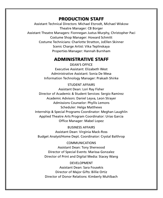## PRODUCTION STAFF

Assistant Technical Directors: Michael Etzrodt, Michael Wiskow Theatre Manager: CB Borger Assistant Theatre Managers: Fionnegan Justus Murphy, Christopher Paci Costume Shop Manager: Howard Schmitt Costume Technicians: Charlotte Stratton, JoEllen Skinner Scenic Charge Artist: Vika Teplinskaya Properties Manager: Hannah Burnham

# ADMINISTRATIVE STAFF

DEAN'S OFFICE

Executive Assistant: Elizabeth West Administrative Assistant: Sonia De Mesa Information Technology Manager: Prakash Shirke

#### STUDENT AFFAIRS

Assistant Dean: Lori Ray Fisher Director of Academic & Student Services: Sergio Ramirez Academic Advisors: Daniel Leyva, Leon Strayer Admissions Counselor: Phyllis Lemons Scheduler: Helga Matthews Internship & Special Programs Coordinator: Meghan Laughlin Applied Theatre Arts Program Coordinator: Urias Garcia Office Manager: Mabel Lopez

BUSINESS AFFAIRS Assistant Dean: Virginia Mack-Ross Budget Analyst/Home Dept. Coordinator: Crystal Balthrop

COMMUNICATIONS Assistant Dean: Tony Sherwood Director of Special Events: Marissa Gonzalez Director of Print and Digital Media: Stacey Wang

DEVELOPMENT Assistant Dean: Sara Fousekis Director of Major Gifts: Billie Ortiz Director of Donor Relations: Kimberly Muhlbach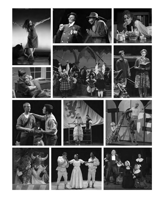